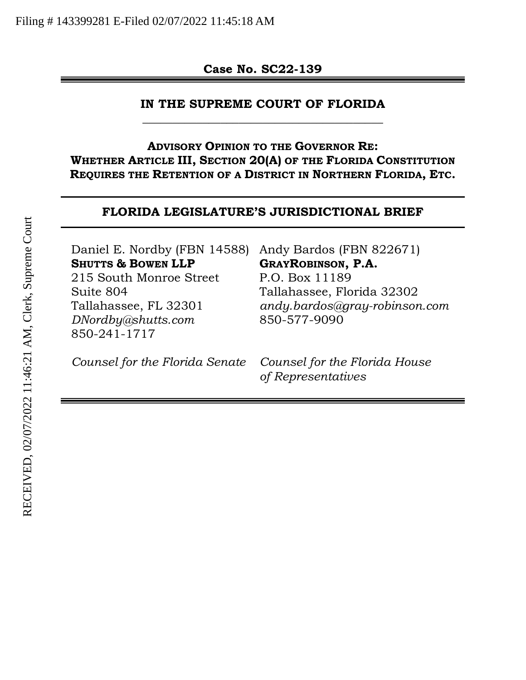**Case No. SC22-139** 

#### **IN THE SUPREME COURT OF FLORIDA**  \_\_\_\_\_\_\_\_\_\_\_\_\_\_\_\_\_\_\_\_\_\_\_\_\_\_\_\_\_\_\_\_\_\_\_\_\_\_\_\_

**ADVISORY OPINION TO THE GOVERNOR RE: WHETHER ARTICLE III, SECTION 20(A) OF THE FLORIDA CONSTITUTION REQUIRES THE RETENTION OF A DISTRICT IN NORTHERN FLORIDA, ETC.** 

#### **FLORIDA LEGISLATURE'S JURISDICTIONAL BRIEF**

| Daniel E. Nordby (FBN 14588)  | Andy Bardos (FBN 822671)      |
|-------------------------------|-------------------------------|
| <b>SHUTTS &amp; BOWEN LLP</b> | <b>GRAYROBINSON, P.A.</b>     |
| 215 South Monroe Street       | P.O. Box 11189                |
| Suite 804                     | Tallahassee, Florida 32302    |
| Tallahassee, FL 32301         | andy.bardos@gray-robinson.com |
| DNordby@shutts.com            | 850-577-9090                  |
| 850-241-1717                  |                               |
|                               |                               |

*Counsel for the Florida Senate Counsel for the Florida House* 

*of Representatives*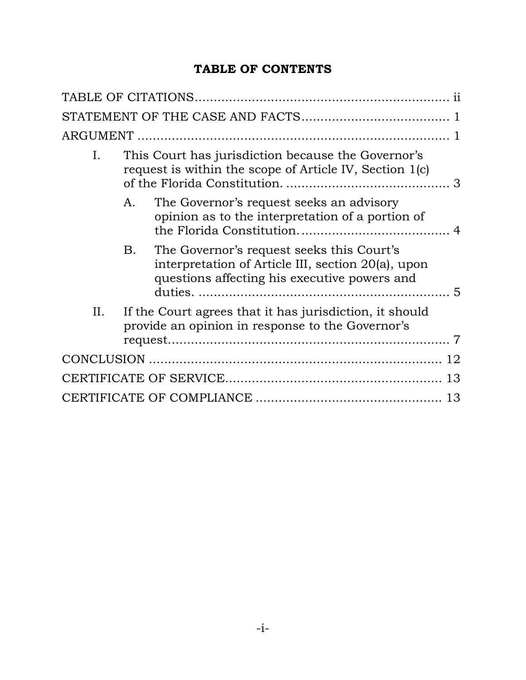## **TABLE OF CONTENTS**

| I.  |    | This Court has jurisdiction because the Governor's<br>request is within the scope of Article IV, Section 1(c)                                   |    |
|-----|----|-------------------------------------------------------------------------------------------------------------------------------------------------|----|
|     | A. | The Governor's request seeks an advisory<br>opinion as to the interpretation of a portion of                                                    |    |
|     | B. | The Governor's request seeks this Court's<br>interpretation of Article III, section 20(a), upon<br>questions affecting his executive powers and |    |
| II. |    | If the Court agrees that it has jurisdiction, it should<br>provide an opinion in response to the Governor's                                     |    |
|     |    |                                                                                                                                                 | 12 |
|     |    |                                                                                                                                                 | 13 |
|     |    |                                                                                                                                                 | 13 |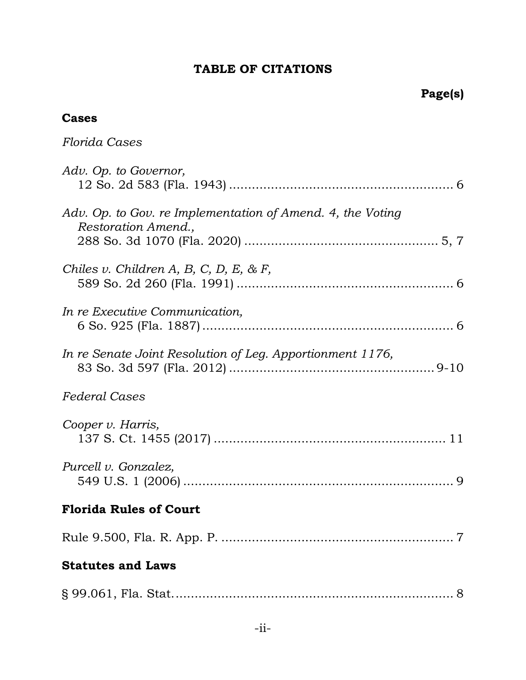# **TABLE OF CITATIONS**

# **Page(s)**

### <span id="page-2-0"></span>**Cases**

| Florida Cases                                                                     |
|-----------------------------------------------------------------------------------|
| Adv. Op. to Governor,                                                             |
| Adv. Op. to Gov. re Implementation of Amend. 4, the Voting<br>Restoration Amend., |
| Chiles v. Children A, B, C, D, E, & F,                                            |
| In re Executive Communication,                                                    |
| In re Senate Joint Resolution of Leg. Apportionment 1176,                         |
| <i>Federal Cases</i>                                                              |
| Cooper v. Harris,                                                                 |
| Purcell v. Gonzalez,                                                              |
| <b>Florida Rules of Court</b>                                                     |
|                                                                                   |
| <b>Statutes and Laws</b>                                                          |
|                                                                                   |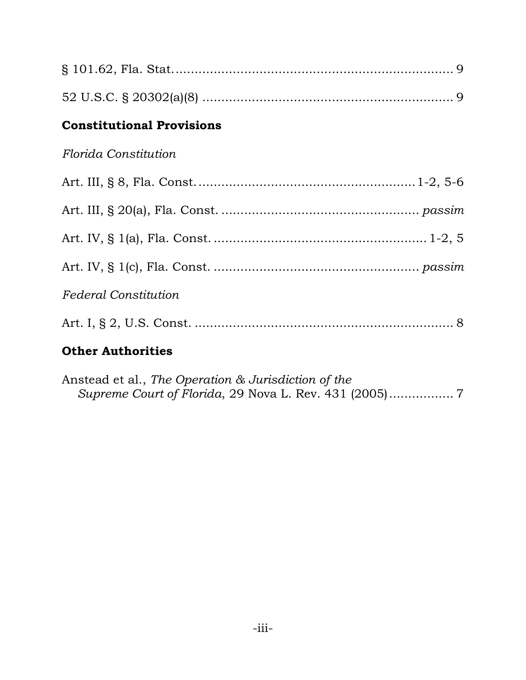| <b>Constitutional Provisions</b> |
|----------------------------------|
| Florida Constitution             |
|                                  |
|                                  |
|                                  |
|                                  |
| <b>Federal Constitution</b>      |
|                                  |
| <b>Other Authorities</b>         |

| Anstead et al., The Operation & Jurisdiction of the |  |
|-----------------------------------------------------|--|
|                                                     |  |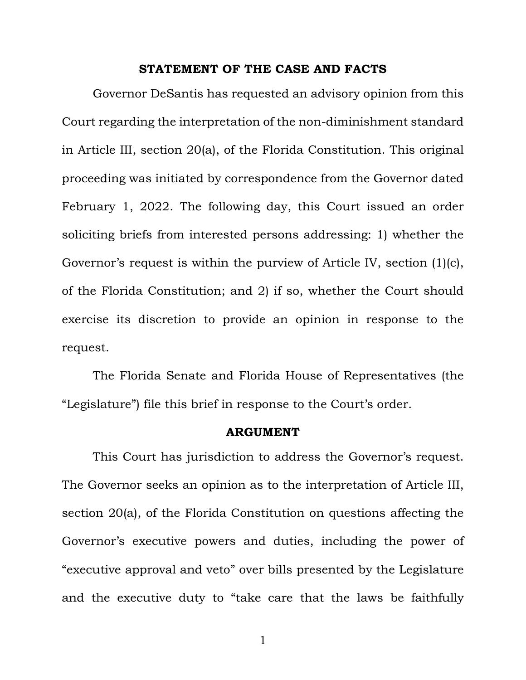#### **STATEMENT OF THE CASE AND FACTS**

<span id="page-4-0"></span>Governor DeSantis has requested an advisory opinion from this Court regarding the interpretation of the non-diminishment standard in Article III, section 20(a), of the Florida Constitution. This original proceeding was initiated by correspondence from the Governor dated February 1, 2022. The following day, this Court issued an order soliciting briefs from interested persons addressing: 1) whether the Governor's request is within the purview of Article IV, section (1)(c), of the Florida Constitution; and 2) if so, whether the Court should exercise its discretion to provide an opinion in response to the request.

The Florida Senate and Florida House of Representatives (the "Legislature") file this brief in response to the Court's order.

#### **ARGUMENT**

<span id="page-4-1"></span>This Court has jurisdiction to address the Governor's request. The Governor seeks an opinion as to the interpretation of Article III, section 20(a), of the Florida Constitution on questions affecting the Governor's executive powers and duties, including the power of "executive approval and veto" over bills presented by the Legislature and the executive duty to "take care that the laws be faithfully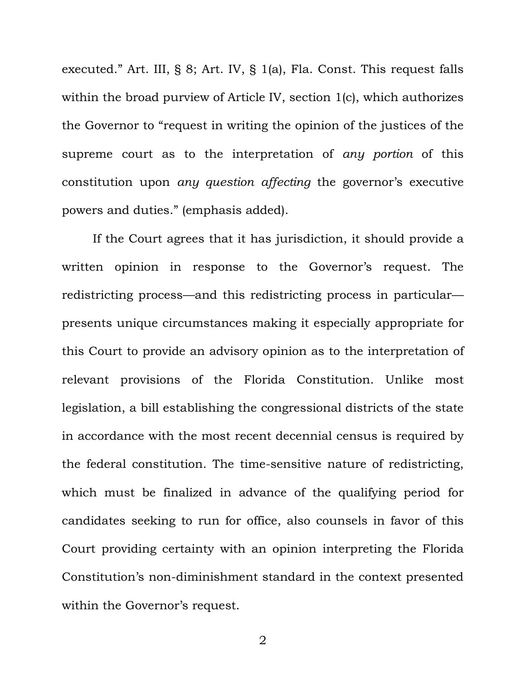executed." Art. III, § 8; Art. IV, § 1(a), Fla. Const. This request falls within the broad purview of Article IV, section 1(c), which authorizes the Governor to "request in writing the opinion of the justices of the supreme court as to the interpretation of *any portion* of this constitution upon *any question affecting* the governor's executive powers and duties." (emphasis added).

If the Court agrees that it has jurisdiction, it should provide a written opinion in response to the Governor's request. The redistricting process—and this redistricting process in particular presents unique circumstances making it especially appropriate for this Court to provide an advisory opinion as to the interpretation of relevant provisions of the Florida Constitution. Unlike most legislation, a bill establishing the congressional districts of the state in accordance with the most recent decennial census is required by the federal constitution. The time-sensitive nature of redistricting, which must be finalized in advance of the qualifying period for candidates seeking to run for office, also counsels in favor of this Court providing certainty with an opinion interpreting the Florida Constitution's non-diminishment standard in the context presented within the Governor's request.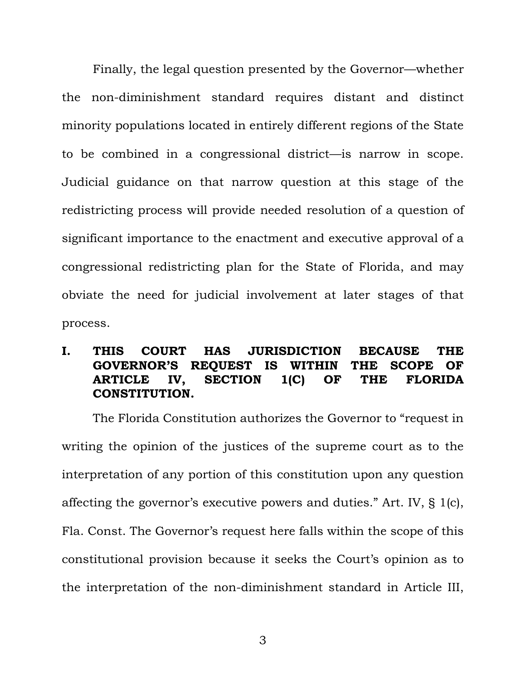Finally, the legal question presented by the Governor—whether the non-diminishment standard requires distant and distinct minority populations located in entirely different regions of the State to be combined in a congressional district—is narrow in scope. Judicial guidance on that narrow question at this stage of the redistricting process will provide needed resolution of a question of significant importance to the enactment and executive approval of a congressional redistricting plan for the State of Florida, and may obviate the need for judicial involvement at later stages of that process.

### <span id="page-6-0"></span>**I. THIS COURT HAS JURISDICTION BECAUSE THE GOVERNOR'S REQUEST IS WITHIN THE SCOPE OF ARTICLE IV, SECTION 1(C) OF THE FLORIDA CONSTITUTION.**

The Florida Constitution authorizes the Governor to "request in writing the opinion of the justices of the supreme court as to the interpretation of any portion of this constitution upon any question affecting the governor's executive powers and duties." Art. IV, § 1(c), Fla. Const. The Governor's request here falls within the scope of this constitutional provision because it seeks the Court's opinion as to the interpretation of the non-diminishment standard in Article III,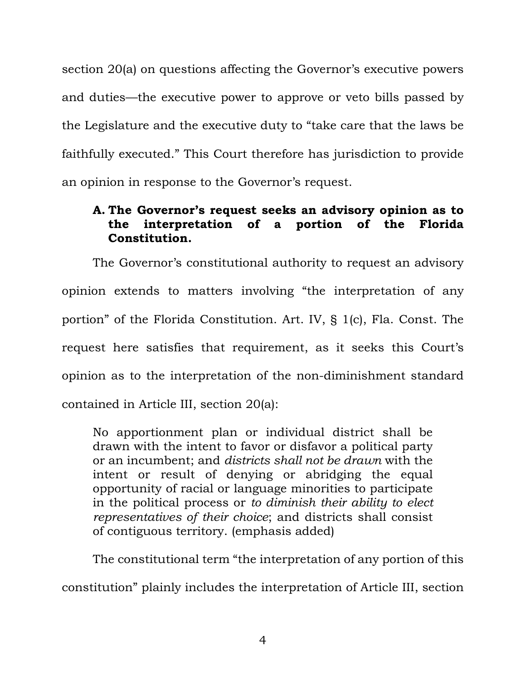section 20(a) on questions affecting the Governor's executive powers and duties—the executive power to approve or veto bills passed by the Legislature and the executive duty to "take care that the laws be faithfully executed." This Court therefore has jurisdiction to provide an opinion in response to the Governor's request.

### <span id="page-7-0"></span>**A. The Governor's request seeks an advisory opinion as to the interpretation of a portion of the Florida Constitution.**

The Governor's constitutional authority to request an advisory opinion extends to matters involving "the interpretation of any portion" of the Florida Constitution. Art. IV, § 1(c), Fla. Const. The request here satisfies that requirement, as it seeks this Court's opinion as to the interpretation of the non-diminishment standard contained in Article III, section 20(a):

No apportionment plan or individual district shall be drawn with the intent to favor or disfavor a political party or an incumbent; and *districts shall not be drawn* with the intent or result of denying or abridging the equal opportunity of racial or language minorities to participate in the political process or *to diminish their ability to elect representatives of their choice*; and districts shall consist of contiguous territory. (emphasis added)

The constitutional term "the interpretation of any portion of this constitution" plainly includes the interpretation of Article III, section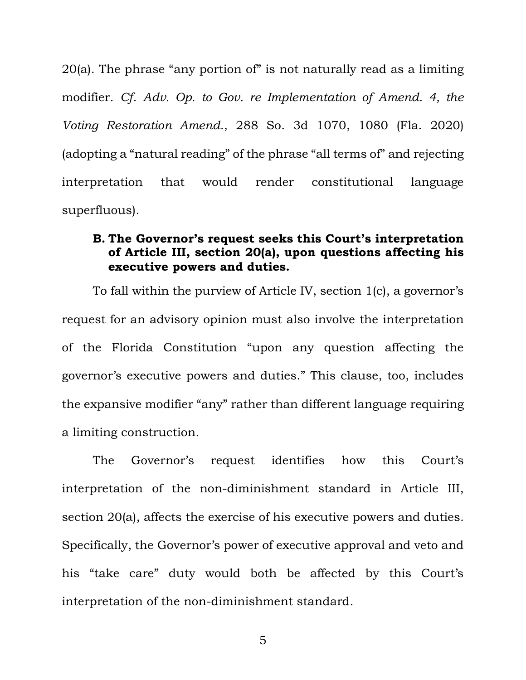20(a). The phrase "any portion of" is not naturally read as a limiting modifier. *Cf*. *Adv. Op. to Gov. re Implementation of Amend. 4, the Voting Restoration Amend.*, 288 So. 3d 1070, 1080 (Fla. 2020) (adopting a "natural reading" of the phrase "all terms of" and rejecting interpretation that would render constitutional language superfluous).

#### <span id="page-8-0"></span>**B. The Governor's request seeks this Court's interpretation of Article III, section 20(a), upon questions affecting his executive powers and duties.**

To fall within the purview of Article IV, section 1(c), a governor's request for an advisory opinion must also involve the interpretation of the Florida Constitution "upon any question affecting the governor's executive powers and duties." This clause, too, includes the expansive modifier "any" rather than different language requiring a limiting construction.

The Governor's request identifies how this Court's interpretation of the non-diminishment standard in Article III, section 20(a), affects the exercise of his executive powers and duties*.* Specifically, the Governor's power of executive approval and veto and his "take care" duty would both be affected by this Court's interpretation of the non-diminishment standard.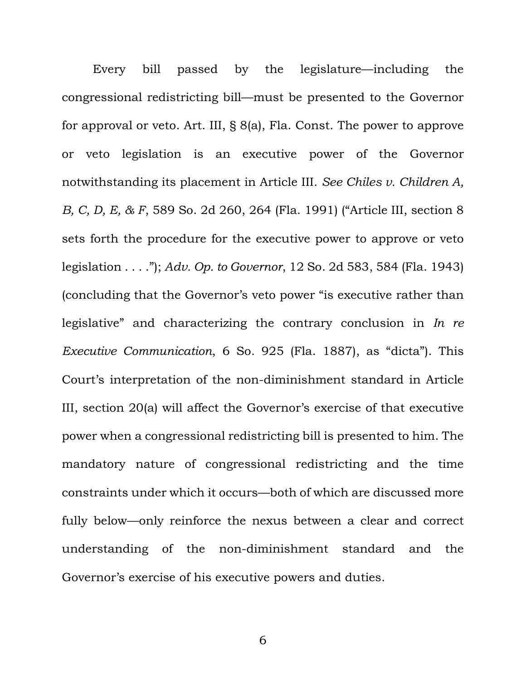Every bill passed by the legislature—including the congressional redistricting bill—must be presented to the Governor for approval or veto. Art. III, § 8(a), Fla. Const. The power to approve or veto legislation is an executive power of the Governor notwithstanding its placement in Article III. *See Chiles v. Children A, B, C, D, E, & F*, 589 So. 2d 260, 264 (Fla. 1991) ("Article III, section 8 sets forth the procedure for the executive power to approve or veto legislation . . . ."); *Adv. Op. to Governor*, 12 So. 2d 583, 584 (Fla. 1943) (concluding that the Governor's veto power "is executive rather than legislative" and characterizing the contrary conclusion in *In re Executive Communication*, 6 So. 925 (Fla. 1887), as "dicta"). This Court's interpretation of the non-diminishment standard in Article III, section 20(a) will affect the Governor's exercise of that executive power when a congressional redistricting bill is presented to him. The mandatory nature of congressional redistricting and the time constraints under which it occurs—both of which are discussed more fully below—only reinforce the nexus between a clear and correct understanding of the non-diminishment standard and the Governor's exercise of his executive powers and duties.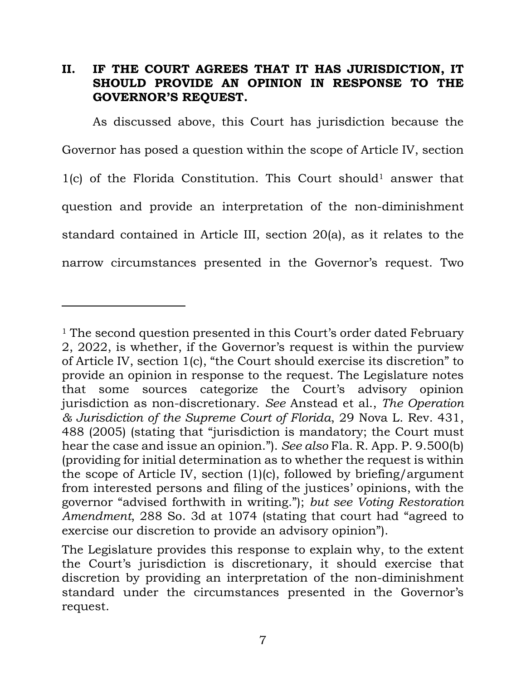#### <span id="page-10-0"></span>**II. IF THE COURT AGREES THAT IT HAS JURISDICTION, IT SHOULD PROVIDE AN OPINION IN RESPONSE TO THE GOVERNOR'S REQUEST.**

As discussed above, this Court has jurisdiction because the Governor has posed a question within the scope of Article IV, section  $1(c)$  of the Florida Constitution. This Court should<sup>1</sup> answer that question and provide an interpretation of the non-diminishment standard contained in Article III, section 20(a), as it relates to the narrow circumstances presented in the Governor's request. Two

 $\overline{a}$ 

<sup>&</sup>lt;sup>1</sup> The second question presented in this Court's order dated February 2, 2022, is whether, if the Governor's request is within the purview of Article IV, section 1(c), "the Court should exercise its discretion" to provide an opinion in response to the request. The Legislature notes that some sources categorize the Court's advisory opinion jurisdiction as non-discretionary. *See* Anstead et al., *The Operation & Jurisdiction of the Supreme Court of Florida*, 29 Nova L. Rev. 431, 488 (2005) (stating that "jurisdiction is mandatory; the Court must hear the case and issue an opinion."). *See also* Fla. R. App. P. 9.500(b) (providing for initial determination as to whether the request is within the scope of Article IV, section (1)(c), followed by briefing/argument from interested persons and filing of the justices' opinions, with the governor "advised forthwith in writing."); *but see Voting Restoration Amendment*, 288 So. 3d at 1074 (stating that court had "agreed to exercise our discretion to provide an advisory opinion").

The Legislature provides this response to explain why, to the extent the Court's jurisdiction is discretionary, it should exercise that discretion by providing an interpretation of the non-diminishment standard under the circumstances presented in the Governor's request.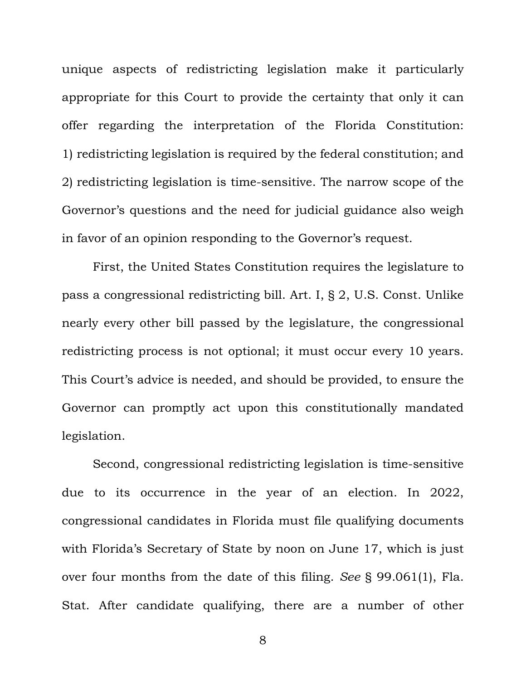unique aspects of redistricting legislation make it particularly appropriate for this Court to provide the certainty that only it can offer regarding the interpretation of the Florida Constitution: 1) redistricting legislation is required by the federal constitution; and 2) redistricting legislation is time-sensitive. The narrow scope of the Governor's questions and the need for judicial guidance also weigh in favor of an opinion responding to the Governor's request.

First, the United States Constitution requires the legislature to pass a congressional redistricting bill. Art. I, § 2, U.S. Const. Unlike nearly every other bill passed by the legislature, the congressional redistricting process is not optional; it must occur every 10 years. This Court's advice is needed, and should be provided, to ensure the Governor can promptly act upon this constitutionally mandated legislation.

Second, congressional redistricting legislation is time-sensitive due to its occurrence in the year of an election. In 2022, congressional candidates in Florida must file qualifying documents with Florida's Secretary of State by noon on June 17, which is just over four months from the date of this filing. *See* § 99.061(1), Fla. Stat. After candidate qualifying, there are a number of other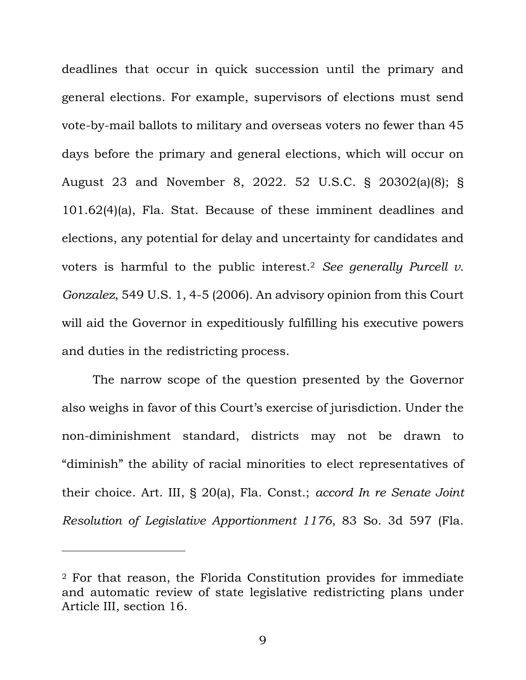deadlines that occur in quick succession until the primary and general elections. For example, supervisors of elections must send vote-by-mail ballots to military and overseas voters no fewer than 45 days before the primary and general elections, which will occur on August 23 and November 8, 2022. 52 U.S.C. § 20302(a)(8); § 101.62(4)(a), Fla. Stat. Because of these imminent deadlines and elections, any potential for delay and uncertainty for candidates and voters is harmful to the public interest.<sup>2</sup> *See generally Purcell v. Gonzalez*, 549 U.S. 1, 4-5 (2006). An advisory opinion from this Court will aid the Governor in expeditiously fulfilling his executive powers and duties in the redistricting process.

The narrow scope of the question presented by the Governor also weighs in favor of this Court's exercise of jurisdiction. Under the non-diminishment standard, districts may not be drawn to "diminish" the ability of racial minorities to elect representatives of their choice. Art. III, § 20(a), Fla. Const.; *accord In re Senate Joint Resolution of Legislative Apportionment 1176*, 83 So. 3d 597 (Fla.

 $\overline{a}$ 

<sup>2</sup> For that reason, the Florida Constitution provides for immediate and automatic review of state legislative redistricting plans under Article III, section 16.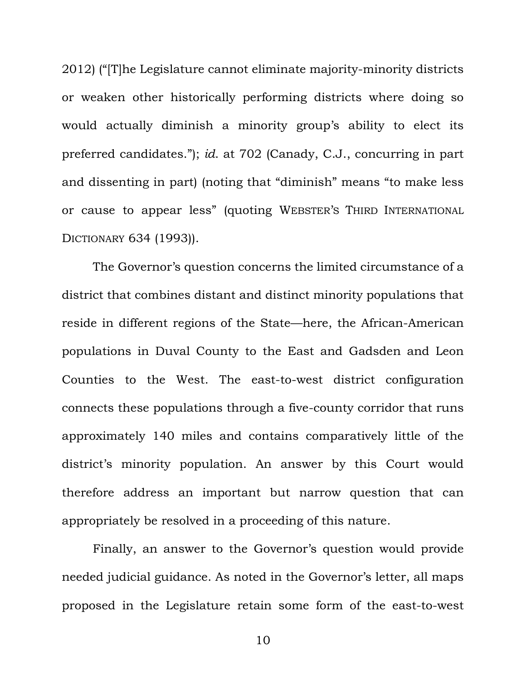2012) ("[T]he Legislature cannot eliminate majority-minority districts or weaken other historically performing districts where doing so would actually diminish a minority group's ability to elect its preferred candidates."); *id*. at 702 (Canady, C.J., concurring in part and dissenting in part) (noting that "diminish" means "to make less or cause to appear less" (quoting WEBSTER'S THIRD INTERNATIONAL DICTIONARY 634 (1993)).

The Governor's question concerns the limited circumstance of a district that combines distant and distinct minority populations that reside in different regions of the State—here, the African-American populations in Duval County to the East and Gadsden and Leon Counties to the West. The east-to-west district configuration connects these populations through a five-county corridor that runs approximately 140 miles and contains comparatively little of the district's minority population. An answer by this Court would therefore address an important but narrow question that can appropriately be resolved in a proceeding of this nature.

Finally, an answer to the Governor's question would provide needed judicial guidance. As noted in the Governor's letter, all maps proposed in the Legislature retain some form of the east-to-west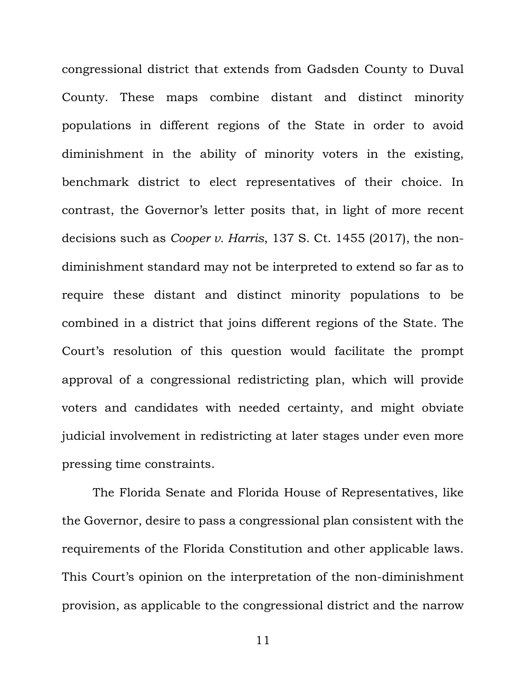congressional district that extends from Gadsden County to Duval County. These maps combine distant and distinct minority populations in different regions of the State in order to avoid diminishment in the ability of minority voters in the existing, benchmark district to elect representatives of their choice. In contrast, the Governor's letter posits that, in light of more recent decisions such as *Cooper v. Harris*, 137 S. Ct. 1455 (2017), the nondiminishment standard may not be interpreted to extend so far as to require these distant and distinct minority populations to be combined in a district that joins different regions of the State. The Court's resolution of this question would facilitate the prompt approval of a congressional redistricting plan, which will provide voters and candidates with needed certainty, and might obviate judicial involvement in redistricting at later stages under even more pressing time constraints.

The Florida Senate and Florida House of Representatives, like the Governor, desire to pass a congressional plan consistent with the requirements of the Florida Constitution and other applicable laws. This Court's opinion on the interpretation of the non-diminishment provision, as applicable to the congressional district and the narrow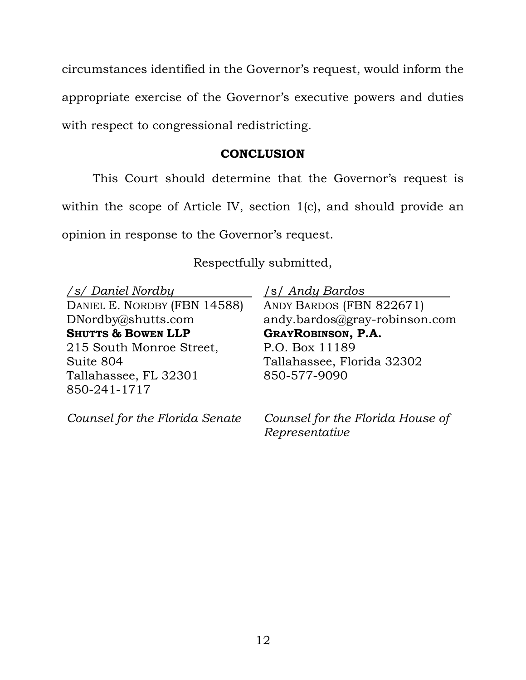circumstances identified in the Governor's request, would inform the appropriate exercise of the Governor's executive powers and duties with respect to congressional redistricting.

#### **CONCLUSION**

<span id="page-15-0"></span>This Court should determine that the Governor's request is within the scope of Article IV, section 1(c), and should provide an opinion in response to the Governor's request.

Respectfully submitted,

*/s/ Daniel Nordby*  DANIEL E. NORDBY (FBN 14588) DNordby@shutts.com **SHUTTS & BOWEN LLP**  215 South Monroe Street, Suite 804 Tallahassee, FL 32301 850-241-1717

*Counsel for the Florida Senate* 

/s/ *Andy Bardos*

ANDY BARDOS (FBN 822671) andy.bardos@gray-robinson.com **GRAYROBINSON, P.A.**  P.O. Box 11189 Tallahassee, Florida 32302 850-577-9090

*Counsel for the Florida House of Representative*